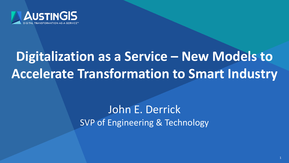

# **Digitalization as a Service – New Models to Accelerate Transformation to Smart Industry**

## John E. Derrick SVP of Engineering & Technology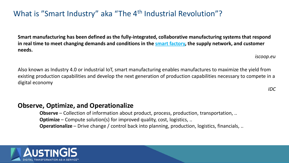### What is "Smart Industry" aka "The 4<sup>th</sup> Industrial Revolution"?

**Smart manufacturing has been defined as the fully-integrated, collaborative manufacturing systems that respond in real time to meet changing demands and conditions in the [smart factory,](https://www.i-scoop.eu/industry-4-0/smart-factory-scaling/) the supply network, and customer needs.**

*iscoop.eu*

Also known as Industry 4.0 or industrial IoT, smart manufacturing enables manufactures to maximize the yield from existing production capabilities and develop the next generation of production capabilities necessary to compete in a digital economy

*IDC*

#### **Observe, Optimize, and Operationalize**

**Observe** – Collection of information about product, process, production, transportation, .. **Optimize** – Compute solution(s) for improved quality, cost, logistics, .. **Operationalize** – Drive change / control back into planning, production, logistics, financials, ..

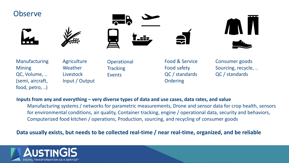

QC, Volume, .. (semi, aircraft, food, petro, ..)

**Livestock** Input / Output Events

QC / standards **Ordering** 

QC / standards

#### **Inputs from any and everything – very diverse types of data and use cases, data rates, and value**

Manufacturing systems / networks for parametric measurements, Drone and sensor data for crop health, sensors for environmental conditions, air quality, Container tracking, engine / operational data, security and behaviors, Computerized food kitchen / operations, Production, sourcing, and recycling of consumer goods

#### **Data usually exists, but needs to be collected real-time / near real-time, organized, and be reliable**

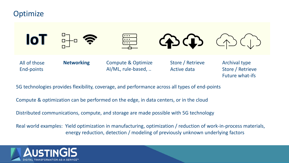#### **Optimize**



5G technologies provides flexibility, coverage, and performance across all types of end-points

Compute & optimization can be performed on the edge, in data centers, or in the cloud

Distributed communications, compute, and storage are made possible with 5G technology

Real world examples: Yield optimization in manufacturing, optimization / reduction of work-in-process materials, energy reduction, detection / modeling of previously unknown underlying factors

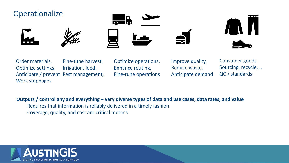#### **Operationalize**









Order materials, Optimize settings, Anticipate / prevent Pest management, Work stoppages Fine-tune harvest, Irrigation, feed,

Optimize operations, Enhance routing, Fine-tune operations Improve quality, Reduce waste, Anticipate demand

Consumer goods Sourcing, recycle, .. QC / standards

**Outputs / control any and everything – very diverse types of data and use cases, data rates, and value**

Requires that information is reliably delivered in a timely fashion

Coverage, quality, and cost are critical metrics

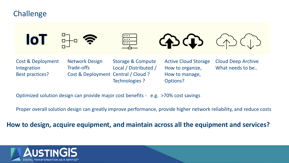#### **Challenge**



Cost & Deployment Integration Best practices?

Network Design Trade-offs Cost & Deployment Central / Cloud ? Storage & Compute Local / Distributed / Technologies ?

Active Cloud Storage How to organize, How to manage, Options?

Cloud Deep Archive What needs to be...

Optimized solution design can provide major cost benefits - e.g. >70% cost savings

Proper overall solution design can greatly improve performance, provide higher network reliability, and reduce costs

**How to design, acquire equipment, and maintain across all the equipment and services?**

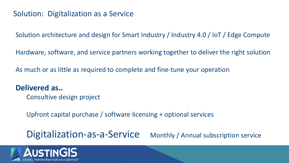### Solution: Digitalization as a Service

Solution architecture and design for Smart Industry / Industry 4.0 / IoT / Edge Compute

Hardware, software, and service partners working together to deliver the right solution

As much or as little as required to complete and fine-tune your operation

#### **Delivered as..**

Consultive design project

Upfront capital purchase / software licensing + optional services

Digitalization-as-a-Service Monthly / Annual subscription service